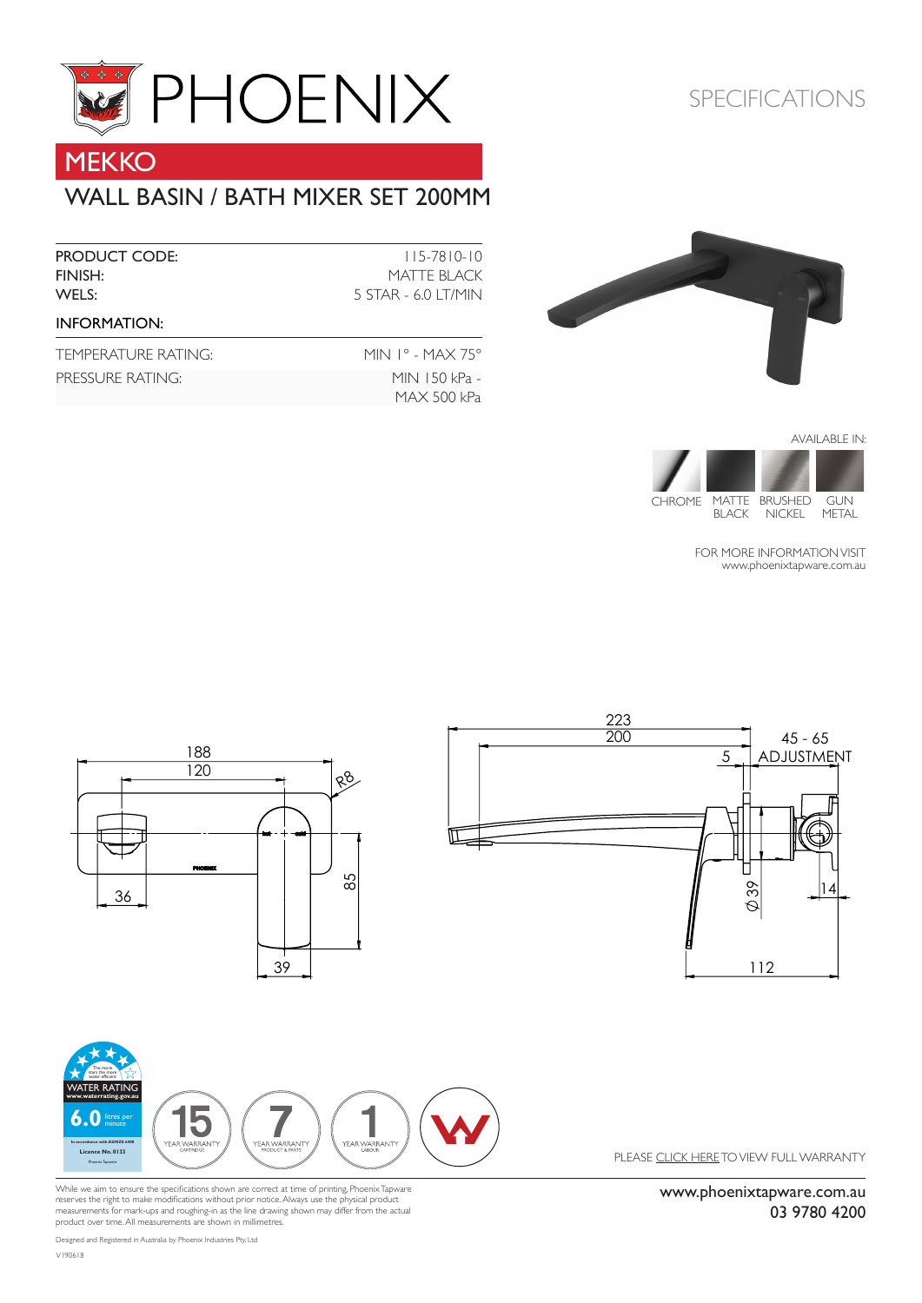

# **MEKKO**

### WALL BASIN / BATH MIXER SET 200MM

| <b>PRODUCT CODE:</b><br>FINISH:<br>WELS: | $115 - 7810 - 10$<br>MATTE BLACK<br>5 STAR - 6.0 LT/MIN |
|------------------------------------------|---------------------------------------------------------|
| <b>INFORMATION:</b>                      |                                                         |
| TEMPERATURE RATING:                      | MIN $1^{\circ}$ - MAX 75 $^{\circ}$                     |
| PRESSURE RATING:                         | MIN 150 kPa -<br>MAX 500 kPa                            |

## SPECIFICATIONS





FOR MORE INFORMATION VISIT [www.phoenixtapware.com.](http://www.phoenixtapware.com.au/)au



While we aim to ensure the specifications shown are correct at time of printing, Phoenix Tapware<br>reserves the right to make modifications without prior notice. Always use the physical product<br>measurements for mark-ups and product over time. All measurements are shown in millimetres.

[www.phoenixtapware.com.au](http://www.phoenixtapware.com.au/)

03 9780 4200